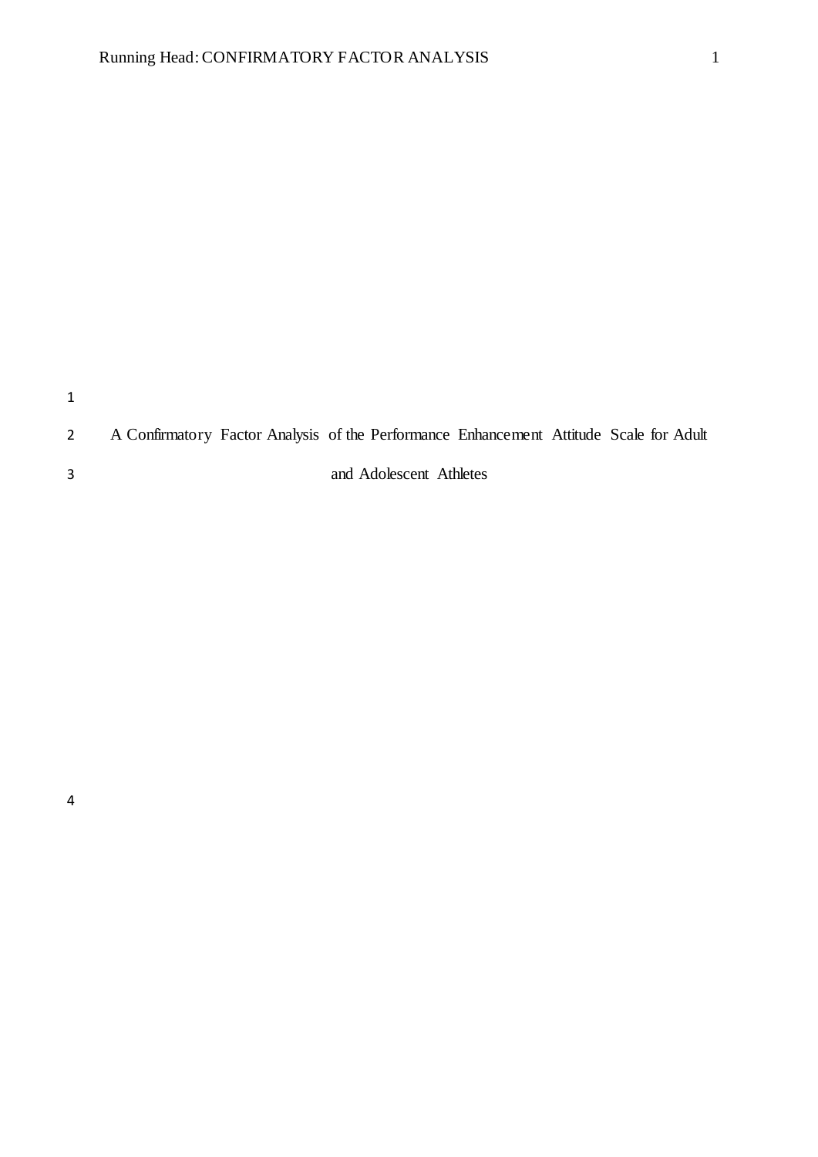# A Confirmatory Factor Analysis of the Performance Enhancement Attitude Scale for Adult

and Adolescent Athletes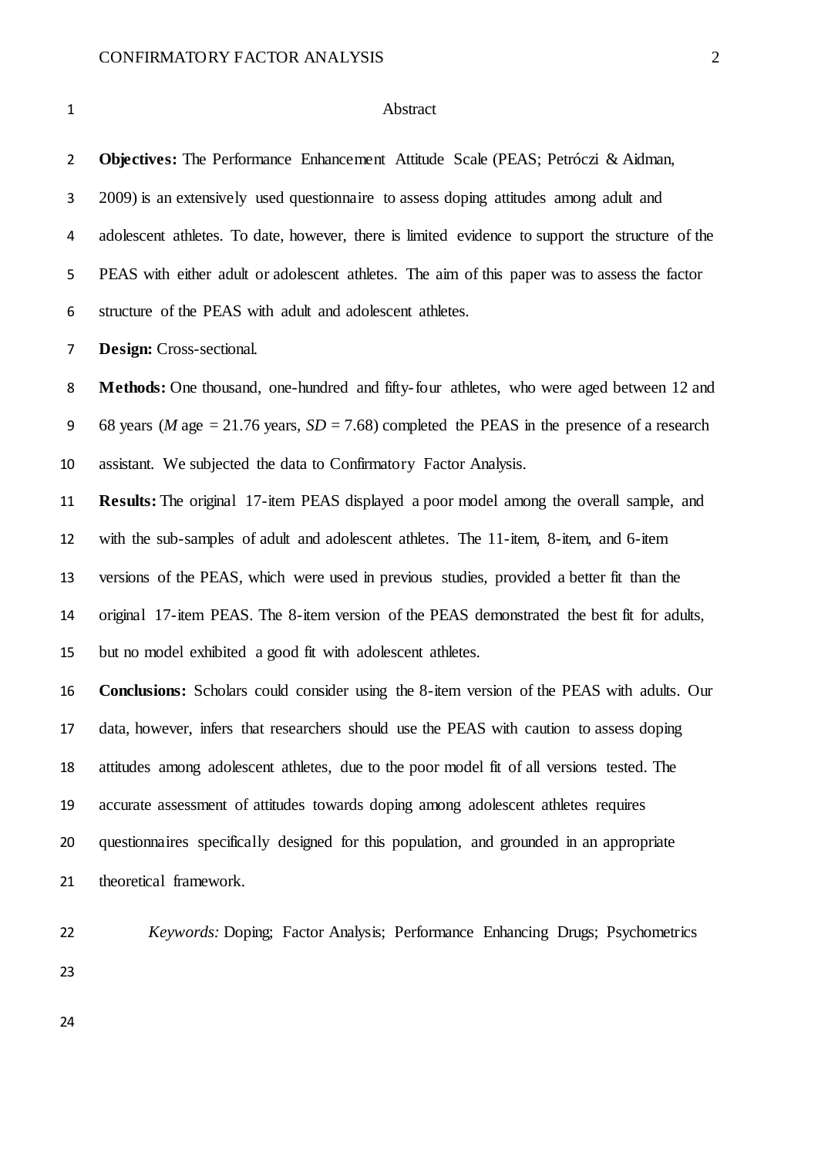#### Abstract

 **Objectives:** The Performance Enhancement Attitude Scale (PEAS; Petróczi & Aidman, 2009) is an extensively used questionnaire to assess doping attitudes among adult and adolescent athletes. To date, however, there is limited evidence to support the structure of the PEAS with either adult or adolescent athletes. The aim of this paper was to assess the factor structure of the PEAS with adult and adolescent athletes.

**Design:** Cross-sectional.

**Methods:** One thousand, one-hundred and fifty-four athletes, who were aged between 12 and 9 68 years (*M* age  $= 21.76$  years,  $SD = 7.68$ ) completed the PEAS in the presence of a research assistant. We subjected the data to Confirmatory Factor Analysis.

 **Results:** The original 17-item PEAS displayed a poor model among the overall sample, and with the sub-samples of adult and adolescent athletes. The 11-item, 8-item, and 6-item versions of the PEAS, which were used in previous studies, provided a better fit than the original 17-item PEAS. The 8-item version of the PEAS demonstrated the best fit for adults, but no model exhibited a good fit with adolescent athletes.

 **Conclusions:** Scholars could consider using the 8-item version of the PEAS with adults. Our data, however, infers that researchers should use the PEAS with caution to assess doping attitudes among adolescent athletes, due to the poor model fit of all versions tested. The accurate assessment of attitudes towards doping among adolescent athletes requires questionnaires specifically designed for this population, and grounded in an appropriate theoretical framework.

*Keywords:* Doping; Factor Analysis; Performance Enhancing Drugs; Psychometrics

- 
-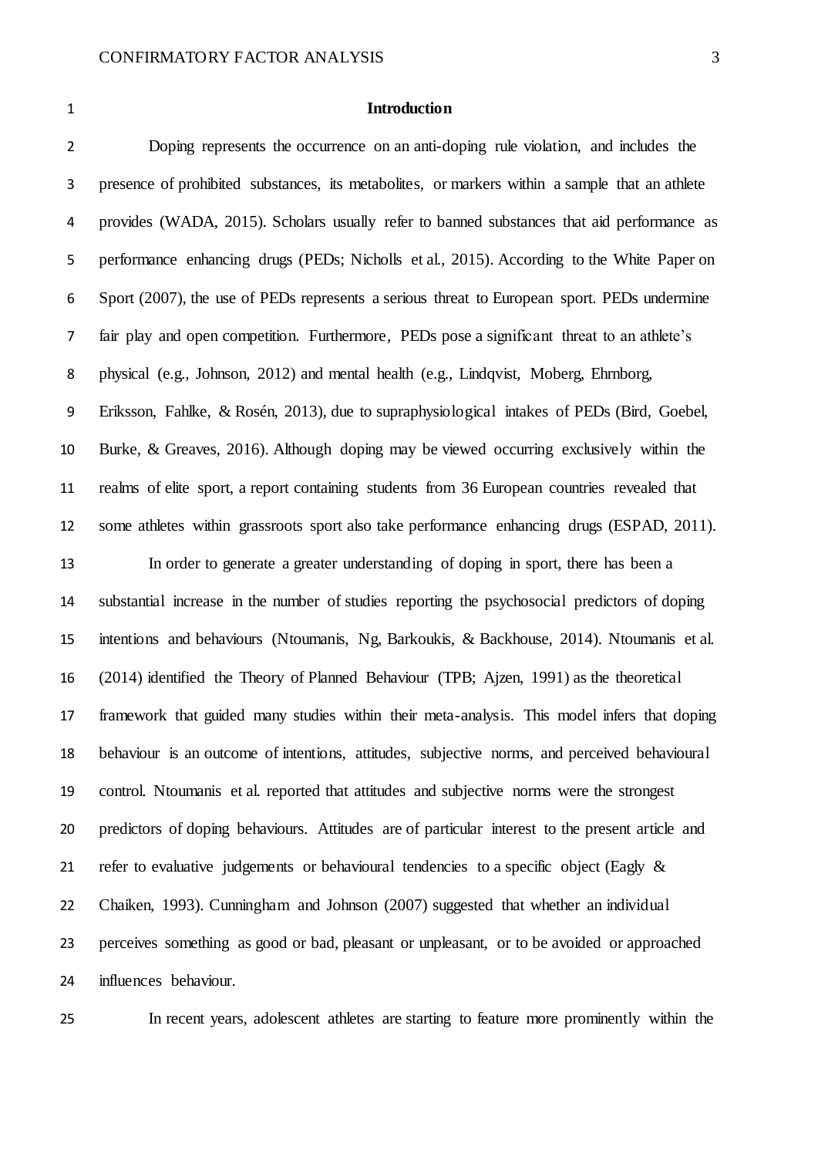#### **Introduction**

 Doping represents the occurrence on an anti-doping rule violation, and includes the presence of prohibited substances, its metabolites, or markers within a sample that an athlete provides (WADA, 2015). Scholars usually refer to banned substances that aid performance as performance enhancing drugs (PEDs; Nicholls et al., 2015). According to the White Paper on Sport (2007), the use of PEDs represents a serious threat to European sport. PEDs undermine fair play and open competition. Furthermore, PEDs pose a significant threat to an athlete's physical (e.g., Johnson, 2012) and mental health (e.g., Lindqvist, Moberg, Ehrnborg, Eriksson, Fahlke, & Rosén, 2013), due to supraphysiological intakes of PEDs (Bird, Goebel, Burke, & Greaves, 2016). Although doping may be viewed occurring exclusively within the realms of elite sport, a report containing students from 36 European countries revealed that some athletes within grassroots sport also take performance enhancing drugs (ESPAD, 2011).

 In order to generate a greater understanding of doping in sport, there has been a substantial increase in the number of studies reporting the psychosocial predictors of doping intentions and behaviours (Ntoumanis, Ng, Barkoukis, & Backhouse, 2014). Ntoumanis et al. (2014) identified the Theory of Planned Behaviour (TPB; Ajzen, 1991) as the theoretical framework that guided many studies within their meta-analysis. This model infers that doping behaviour is an outcome of intentions, attitudes, subjective norms, and perceived behavioural control. Ntoumanis et al. reported that attitudes and subjective norms were the strongest predictors of doping behaviours. Attitudes are of particular interest to the present article and 21 refer to evaluative judgements or behavioural tendencies to a specific object (Eagly & Chaiken, 1993). Cunningham and Johnson (2007) suggested that whether an individual perceives something as good or bad, pleasant or unpleasant, or to be avoided or approached influences behaviour.

In recent years, adolescent athletes are starting to feature more prominently within the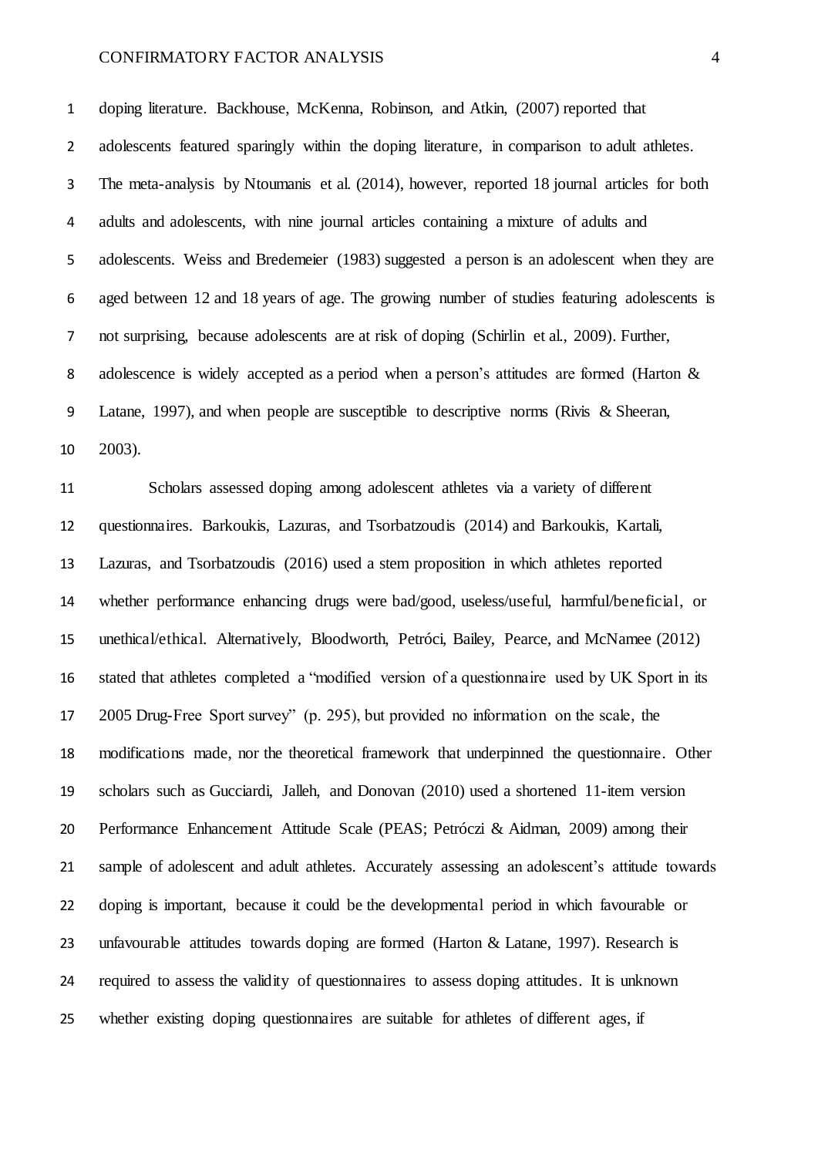doping literature. Backhouse, McKenna, Robinson, and Atkin, (2007) reported that 2 adolescents featured sparingly within the doping literature, in comparison to adult athletes. The meta-analysis by Ntoumanis et al. (2014), however, reported 18 journal articles for both adults and adolescents, with nine journal articles containing a mixture of adults and adolescents. Weiss and Bredemeier (1983) suggested a person is an adolescent when they are aged between 12 and 18 years of age. The growing number of studies featuring adolescents is not surprising, because adolescents are at risk of doping (Schirlin et al., 2009). Further, adolescence is widely accepted as a period when a person's attitudes are formed (Harton & Latane, 1997), and when people are susceptible to descriptive norms (Rivis & Sheeran, 2003).

 Scholars assessed doping among adolescent athletes via a variety of different questionnaires. Barkoukis, Lazuras, and Tsorbatzoudis (2014) and Barkoukis, Kartali, Lazuras, and Tsorbatzoudis (2016) used a stem proposition in which athletes reported whether performance enhancing drugs were bad/good, useless/useful, harmful/beneficial, or unethical/ethical. Alternatively, Bloodworth, Petróci, Bailey, Pearce, and McNamee (2012) stated that athletes completed a "modified version of a questionnaire used by UK Sport in its 2005 Drug-Free Sport survey" (p. 295), but provided no information on the scale, the modifications made, nor the theoretical framework that underpinned the questionnaire. Other scholars such as Gucciardi, Jalleh, and Donovan (2010) used a shortened 11-item version Performance Enhancement Attitude Scale (PEAS; Petróczi & Aidman, 2009) among their sample of adolescent and adult athletes. Accurately assessing an adolescent's attitude towards doping is important, because it could be the developmental period in which favourable or 23 unfavourable attitudes towards doping are formed (Harton & Latane, 1997). Research is required to assess the validity of questionnaires to assess doping attitudes. It is unknown whether existing doping questionnaires are suitable for athletes of different ages, if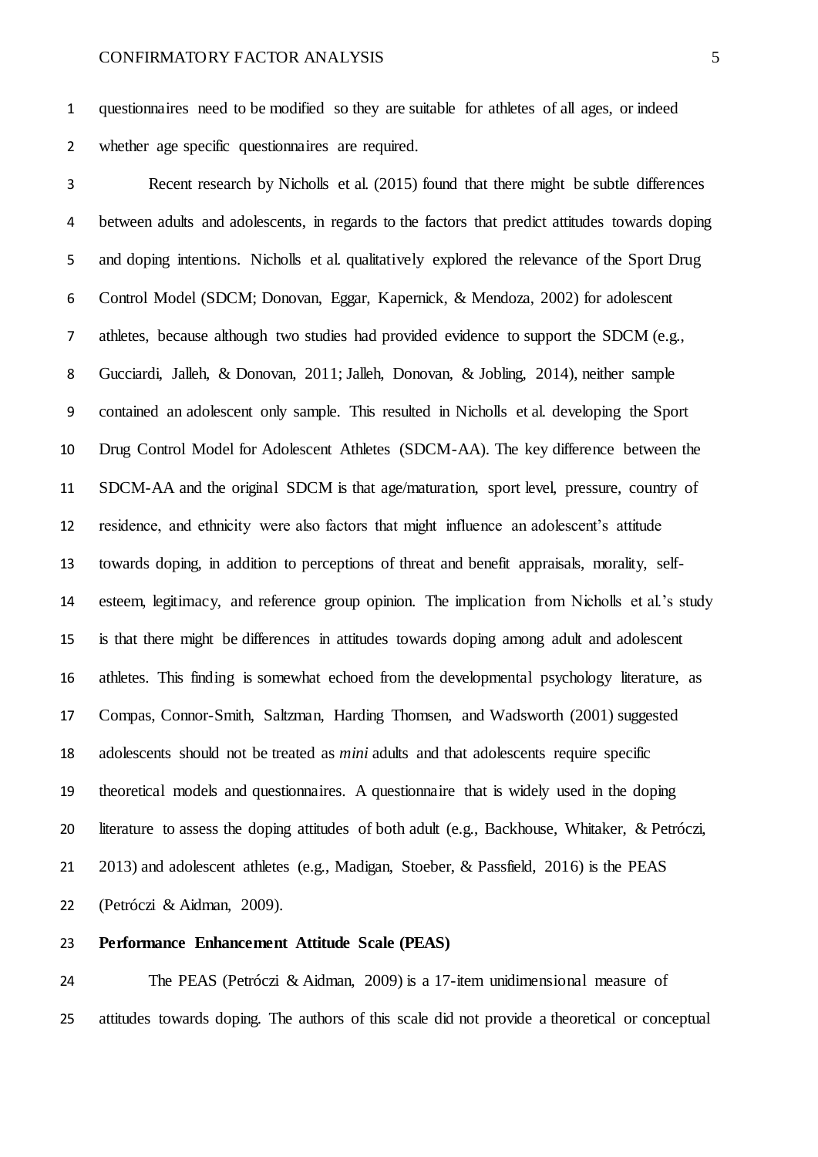questionnaires need to be modified so they are suitable for athletes of all ages, or indeed whether age specific questionnaires are required.

 Recent research by Nicholls et al. (2015) found that there might be subtle differences between adults and adolescents, in regards to the factors that predict attitudes towards doping and doping intentions. Nicholls et al. qualitatively explored the relevance of the Sport Drug Control Model (SDCM; Donovan, Eggar, Kapernick, & Mendoza, 2002) for adolescent athletes, because although two studies had provided evidence to support the SDCM (e.g., Gucciardi, Jalleh, & Donovan, 2011; Jalleh, Donovan, & Jobling, 2014), neither sample contained an adolescent only sample. This resulted in Nicholls et al. developing the Sport Drug Control Model for Adolescent Athletes (SDCM-AA). The key difference between the SDCM-AA and the original SDCM is that age/maturation, sport level, pressure, country of residence, and ethnicity were also factors that might influence an adolescent's attitude towards doping, in addition to perceptions of threat and benefit appraisals, morality, self- esteem, legitimacy, and reference group opinion. The implication from Nicholls et al.'s study is that there might be differences in attitudes towards doping among adult and adolescent athletes. This finding is somewhat echoed from the developmental psychology literature, as Compas, Connor-Smith, Saltzman, Harding Thomsen, and Wadsworth (2001) suggested adolescents should not be treated as *mini* adults and that adolescents require specific theoretical models and questionnaires. A questionnaire that is widely used in the doping literature to assess the doping attitudes of both adult (e.g., Backhouse, Whitaker, & Petróczi, 2013) and adolescent athletes (e.g., Madigan, Stoeber, & Passfield, 2016) is the PEAS (Petróczi & Aidman, 2009).

### **Performance Enhancement Attitude Scale (PEAS)**

 The PEAS (Petróczi & Aidman, 2009) is a 17-item unidimensional measure of attitudes towards doping. The authors of this scale did not provide a theoretical or conceptual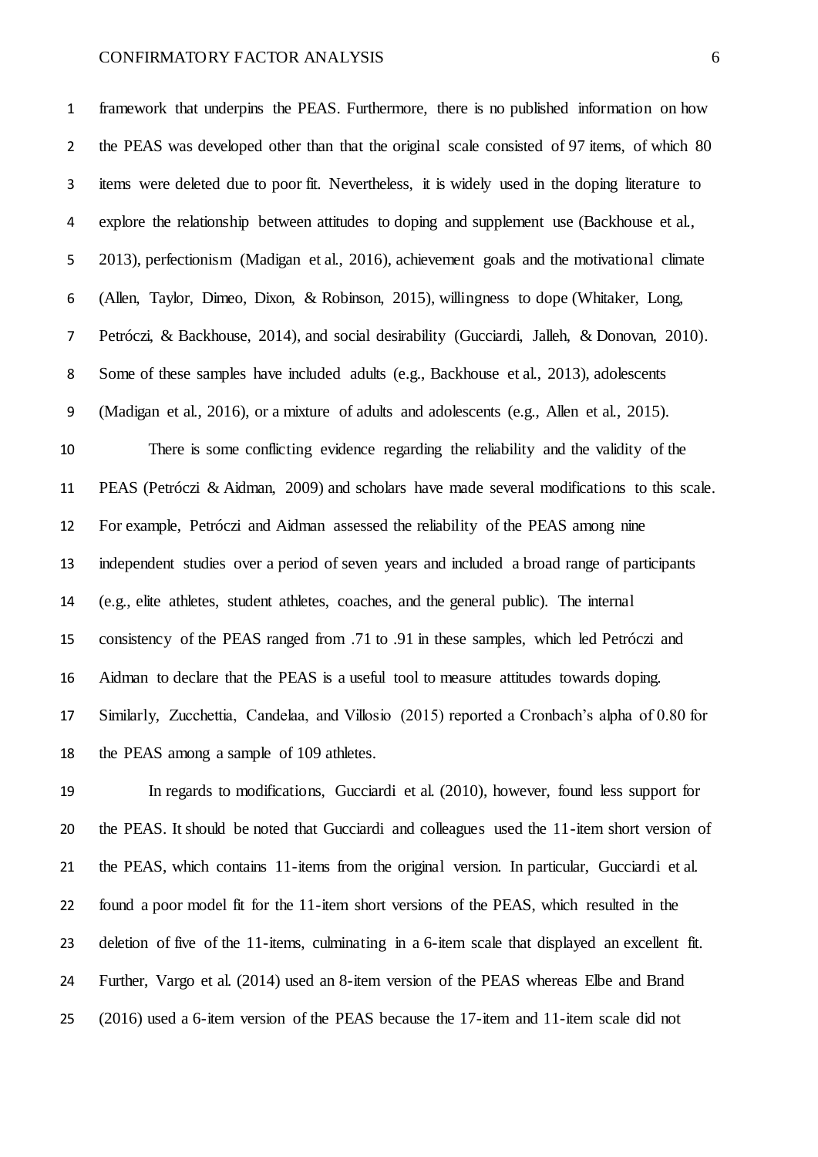framework that underpins the PEAS. Furthermore, there is no published information on how 2 the PEAS was developed other than that the original scale consisted of 97 items, of which 80 items were deleted due to poor fit. Nevertheless, it is widely used in the doping literature to explore the relationship between attitudes to doping and supplement use (Backhouse et al., 2013), perfectionism (Madigan et al., 2016), achievement goals and the motivational climate (Allen, Taylor, Dimeo, Dixon, & Robinson, 2015), willingness to dope (Whitaker, Long, Petróczi, & Backhouse, 2014), and social desirability (Gucciardi, Jalleh, & Donovan, 2010). Some of these samples have included adults (e.g., Backhouse et al., 2013), adolescents (Madigan et al., 2016), or a mixture of adults and adolescents (e.g., Allen et al., 2015).

 There is some conflicting evidence regarding the reliability and the validity of the PEAS (Petróczi & Aidman, 2009) and scholars have made several modifications to this scale. For example, Petróczi and Aidman assessed the reliability of the PEAS among nine independent studies over a period of seven years and included a broad range of participants (e.g., elite athletes, student athletes, coaches, and the general public). The internal consistency of the PEAS ranged from .71 to .91 in these samples, which led Petróczi and Aidman to declare that the PEAS is a useful tool to measure attitudes towards doping. Similarly, Zucchettia, Candelaa, and Villosio (2015) reported a Cronbach's alpha of 0.80 for the PEAS among a sample of 109 athletes.

 In regards to modifications, Gucciardi et al. (2010), however, found less support for the PEAS. It should be noted that Gucciardi and colleagues used the 11-item short version of the PEAS, which contains 11-items from the original version. In particular, Gucciardi et al. found a poor model fit for the 11-item short versions of the PEAS, which resulted in the deletion of five of the 11-items, culminating in a 6-item scale that displayed an excellent fit. Further, Vargo et al. (2014) used an 8-item version of the PEAS whereas Elbe and Brand (2016) used a 6-item version of the PEAS because the 17-item and 11-item scale did not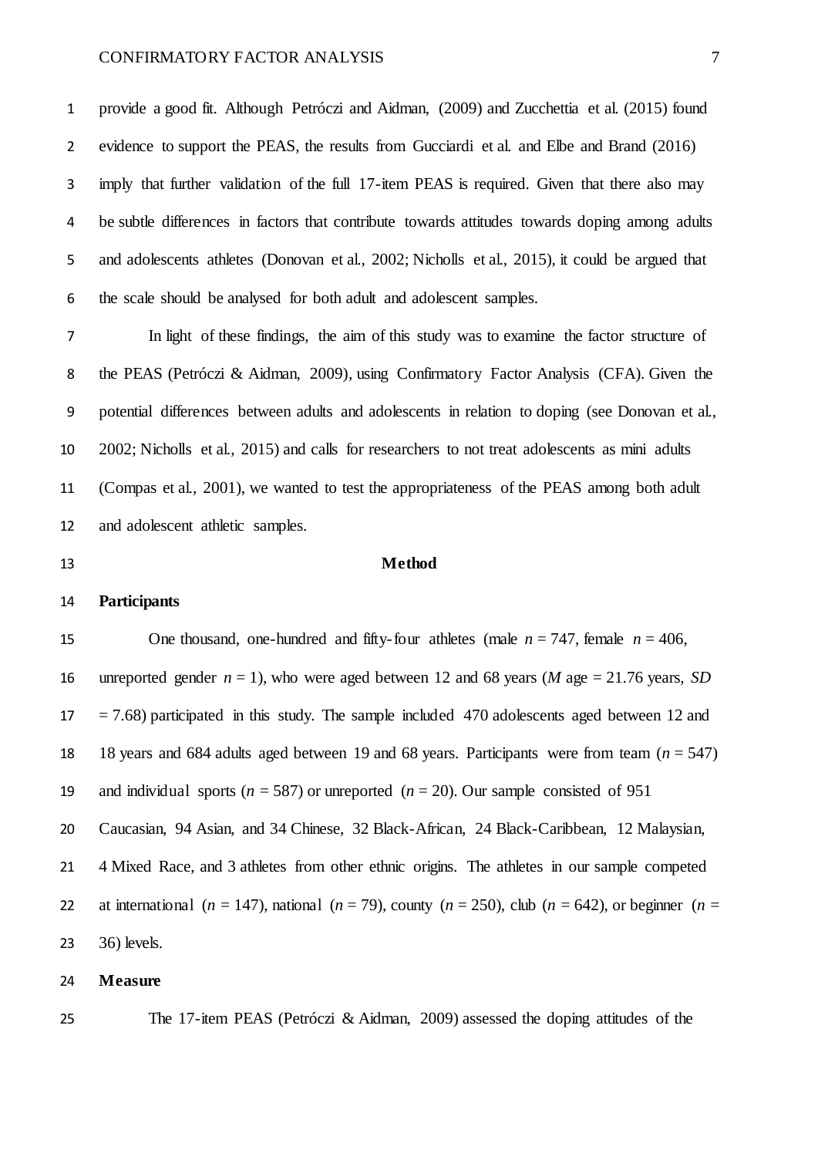provide a good fit. Although Petróczi and Aidman, (2009) and Zucchettia et al. (2015) found evidence to support the PEAS, the results from Gucciardi et al. and Elbe and Brand (2016) imply that further validation of the full 17-item PEAS is required. Given that there also may be subtle differences in factors that contribute towards attitudes towards doping among adults and adolescents athletes (Donovan et al., 2002; Nicholls et al., 2015), it could be argued that the scale should be analysed for both adult and adolescent samples.

 In light of these findings, the aim of this study was to examine the factor structure of the PEAS (Petróczi & Aidman, 2009), using Confirmatory Factor Analysis (CFA). Given the potential differences between adults and adolescents in relation to doping (see Donovan et al., 2002; Nicholls et al., 2015) and calls for researchers to not treat adolescents as mini adults (Compas et al., 2001), we wanted to test the appropriateness of the PEAS among both adult and adolescent athletic samples.

#### **Method**

### **Participants**

15 One thousand, one-hundred and fifty-four athletes (male  $n = 747$ , female  $n = 406$ , 16 unreported gender  $n = 1$ ), who were aged between 12 and 68 years (*M* age = 21.76 years, *SD*  $17 = 7.68$ ) participated in this study. The sample included 470 adolescents aged between 12 and 18 years and 684 adults aged between 19 and 68 years. Participants were from team (*n* = 547) 19 and individual sports ( $n = 587$ ) or unreported ( $n = 20$ ). Our sample consisted of 951 Caucasian, 94 Asian, and 34 Chinese, 32 Black-African, 24 Black-Caribbean, 12 Malaysian, 4 Mixed Race, and 3 athletes from other ethnic origins. The athletes in our sample competed 22 at international ( $n = 147$ ), national ( $n = 79$ ), county ( $n = 250$ ), club ( $n = 642$ ), or beginner ( $n =$ 36) levels.

#### **Measure**

The 17-item PEAS (Petróczi & Aidman, 2009) assessed the doping attitudes of the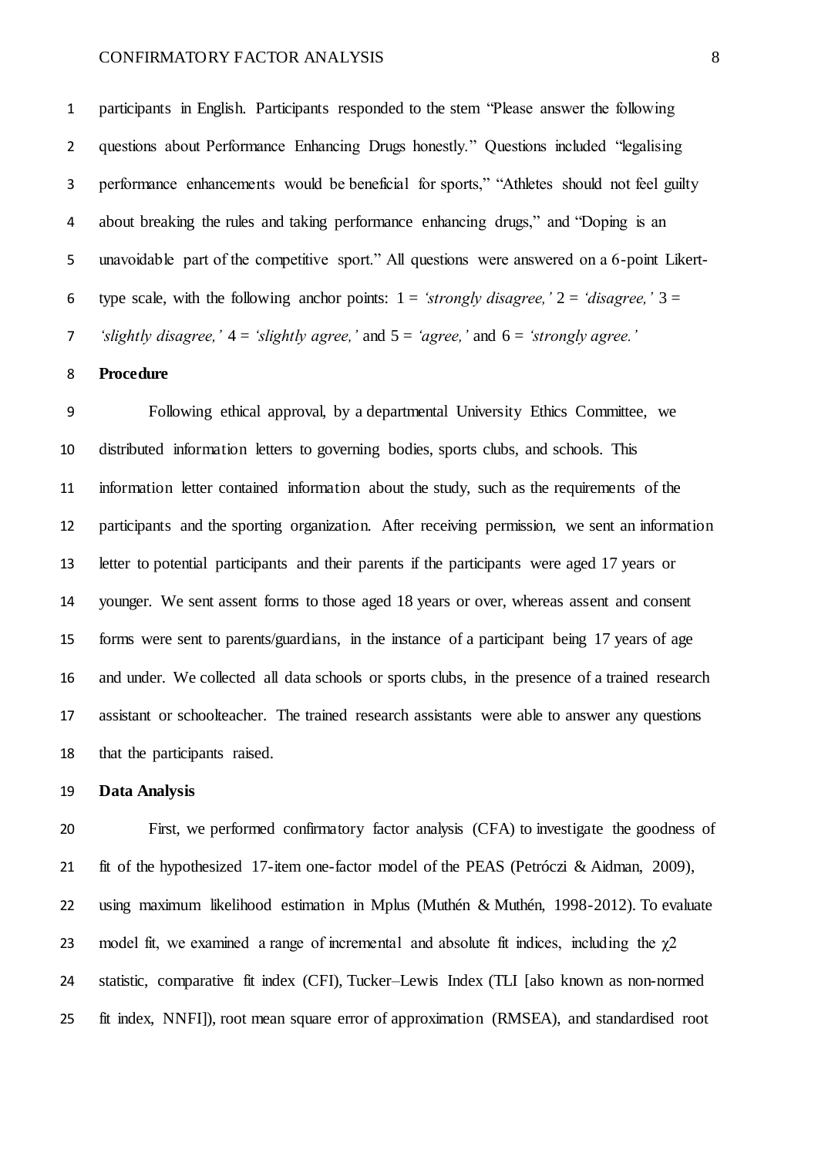participants in English. Participants responded to the stem "Please answer the following questions about Performance Enhancing Drugs honestly." Questions included "legalising performance enhancements would be beneficial for sports," "Athletes should not feel guilty about breaking the rules and taking performance enhancing drugs," and "Doping is an unavoidable part of the competitive sport." All questions were answered on a 6-point Likert-6 type scale, with the following anchor points:  $1 = 'strongly disagree, '2 = 'disagree, '3 =$ *'slightly disagree,'* 4 = *'slightly agree,'* and 5 = *'agree,'* and 6 = *'strongly agree.'*

#### **Procedure**

 Following ethical approval, by a departmental University Ethics Committee, we distributed information letters to governing bodies, sports clubs, and schools. This information letter contained information about the study, such as the requirements of the participants and the sporting organization. After receiving permission, we sent an information letter to potential participants and their parents if the participants were aged 17 years or younger. We sent assent forms to those aged 18 years or over, whereas assent and consent forms were sent to parents/guardians, in the instance of a participant being 17 years of age and under. We collected all data schools or sports clubs, in the presence of a trained research assistant or schoolteacher. The trained research assistants were able to answer any questions that the participants raised.

#### **Data Analysis**

 First, we performed confirmatory factor analysis (CFA) to investigate the goodness of fit of the hypothesized 17-item one-factor model of the PEAS (Petróczi & Aidman, 2009), using maximum likelihood estimation in Mplus (Muthén & Muthén, 1998-2012). To evaluate 23 model fit, we examined a range of incremental and absolute fit indices, including the  $\gamma$ 2 statistic, comparative fit index (CFI), Tucker–Lewis Index (TLI [also known as non-normed fit index, NNFI]), root mean square error of approximation (RMSEA), and standardised root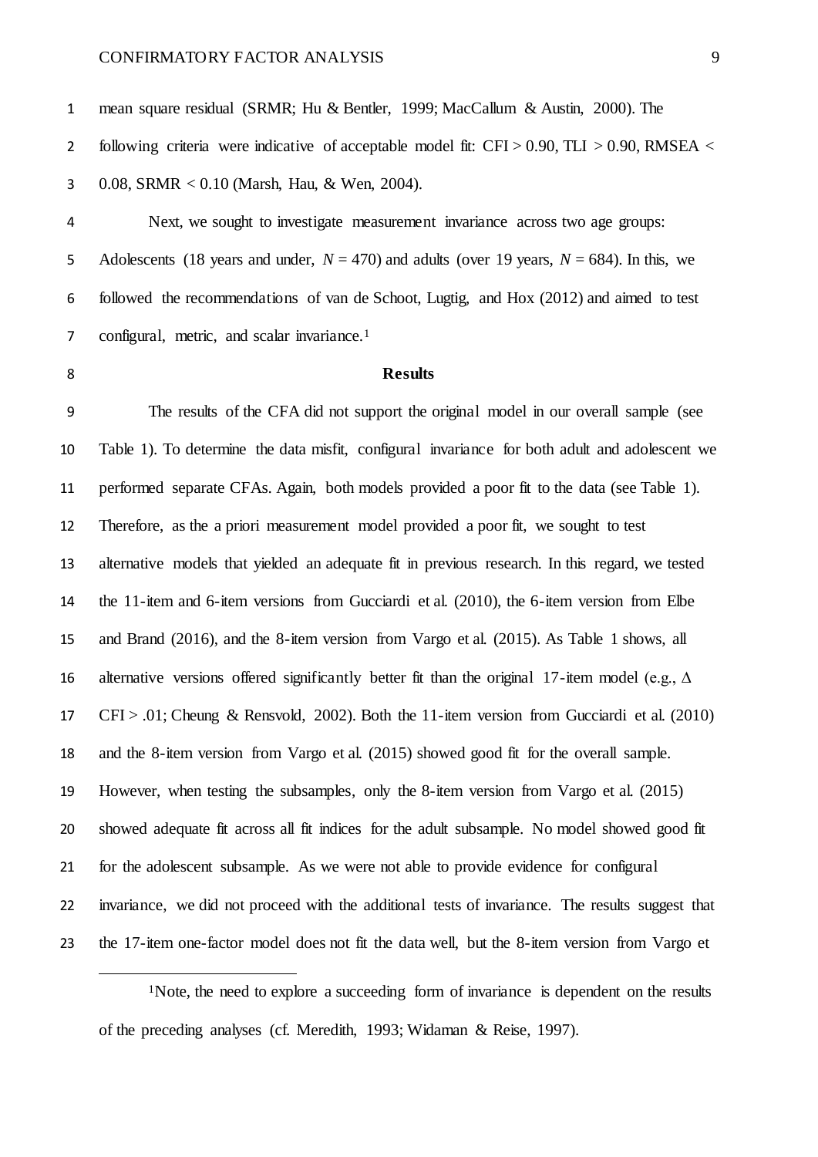mean square residual (SRMR; Hu & Bentler, 1999; MacCallum & Austin, 2000). The 2 following criteria were indicative of acceptable model fit:  $CFI > 0.90$ ,  $TLI > 0.90$ , RMSEA < 0.08, SRMR < 0.10 (Marsh, Hau, & Wen, 2004).

 Next, we sought to investigate measurement invariance across two age groups: 5 Adolescents (18 years and under,  $N = 470$ ) and adults (over 19 years,  $N = 684$ ). In this, we followed the recommendations of van de Schoot, Lugtig, and Hox (2012) and aimed to test 7 configural, metric, and scalar invariance.<sup>1</sup>

 $\overline{a}$ 

### **Results**

 The results of the CFA did not support the original model in our overall sample (see Table 1). To determine the data misfit, configural invariance for both adult and adolescent we performed separate CFAs. Again, both models provided a poor fit to the data (see Table 1). Therefore, as the a priori measurement model provided a poor fit, we sought to test alternative models that yielded an adequate fit in previous research. In this regard, we tested the 11-item and 6-item versions from Gucciardi et al. (2010), the 6-item version from Elbe and Brand (2016), and the 8-item version from Vargo et al. (2015). As Table 1 shows, all alternative versions offered significantly better fit than the original 17-item model (e.g., ∆ CFI > .01; Cheung & Rensvold, 2002). Both the 11-item version from Gucciardi et al. (2010) and the 8-item version from Vargo et al. (2015) showed good fit for the overall sample. However, when testing the subsamples, only the 8-item version from Vargo et al. (2015) showed adequate fit across all fit indices for the adult subsample. No model showed good fit for the adolescent subsample. As we were not able to provide evidence for configural invariance, we did not proceed with the additional tests of invariance. The results suggest that the 17-item one-factor model does not fit the data well, but the 8-item version from Vargo et

<sup>1</sup>Note, the need to explore a succeeding form of invariance is dependent on the results of the preceding analyses (cf. Meredith, 1993; Widaman & Reise, 1997).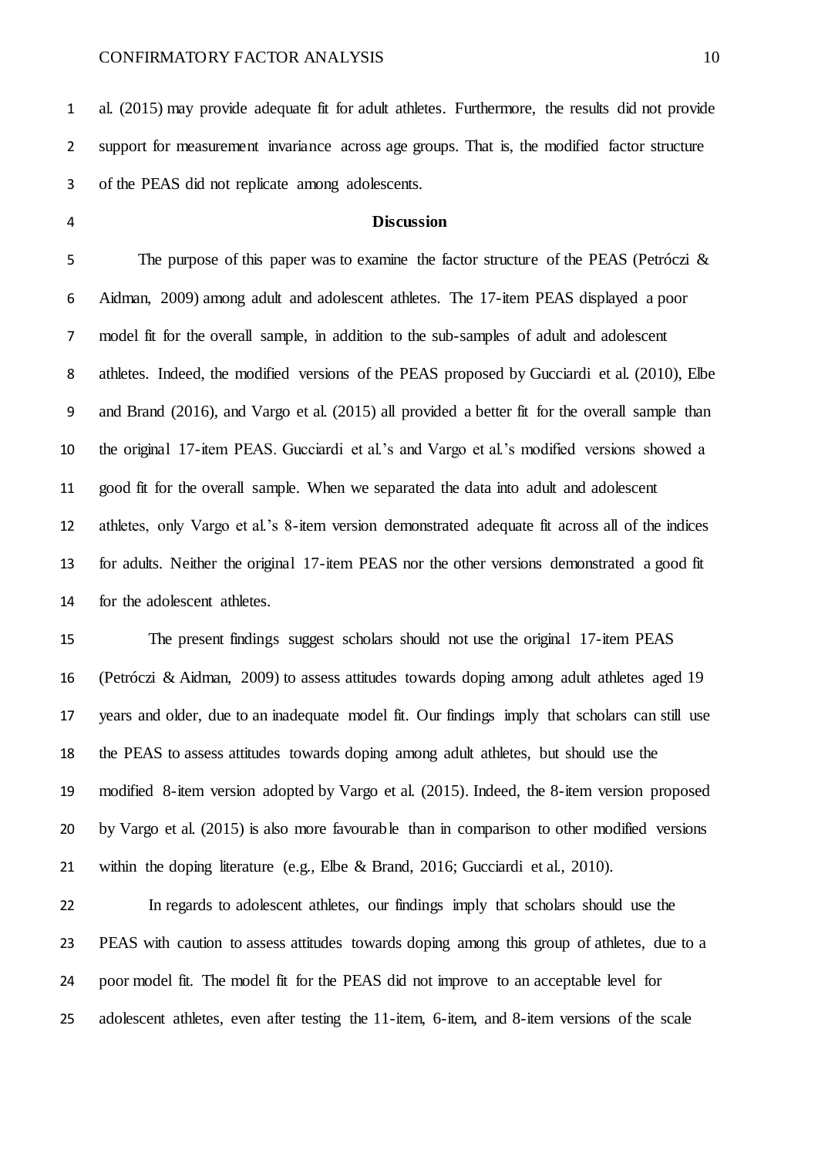al. (2015) may provide adequate fit for adult athletes. Furthermore, the results did not provide support for measurement invariance across age groups. That is, the modified factor structure of the PEAS did not replicate among adolescents.

#### **Discussion**

5 The purpose of this paper was to examine the factor structure of the PEAS (Petróczi & Aidman, 2009) among adult and adolescent athletes. The 17-item PEAS displayed a poor model fit for the overall sample, in addition to the sub-samples of adult and adolescent athletes. Indeed, the modified versions of the PEAS proposed by Gucciardi et al. (2010), Elbe and Brand (2016), and Vargo et al. (2015) all provided a better fit for the overall sample than the original 17-item PEAS. Gucciardi et al.'s and Vargo et al.'s modified versions showed a good fit for the overall sample. When we separated the data into adult and adolescent athletes, only Vargo et al.'s 8-item version demonstrated adequate fit across all of the indices for adults. Neither the original 17-item PEAS nor the other versions demonstrated a good fit for the adolescent athletes.

 The present findings suggest scholars should not use the original 17-item PEAS (Petróczi & Aidman, 2009) to assess attitudes towards doping among adult athletes aged 19 years and older, due to an inadequate model fit. Our findings imply that scholars can still use the PEAS to assess attitudes towards doping among adult athletes, but should use the modified 8-item version adopted by Vargo et al. (2015). Indeed, the 8-item version proposed by Vargo et al. (2015) is also more favourable than in comparison to other modified versions within the doping literature (e.g., Elbe & Brand, 2016; Gucciardi et al., 2010).

 In regards to adolescent athletes, our findings imply that scholars should use the PEAS with caution to assess attitudes towards doping among this group of athletes, due to a poor model fit. The model fit for the PEAS did not improve to an acceptable level for adolescent athletes, even after testing the 11-item, 6-item, and 8-item versions of the scale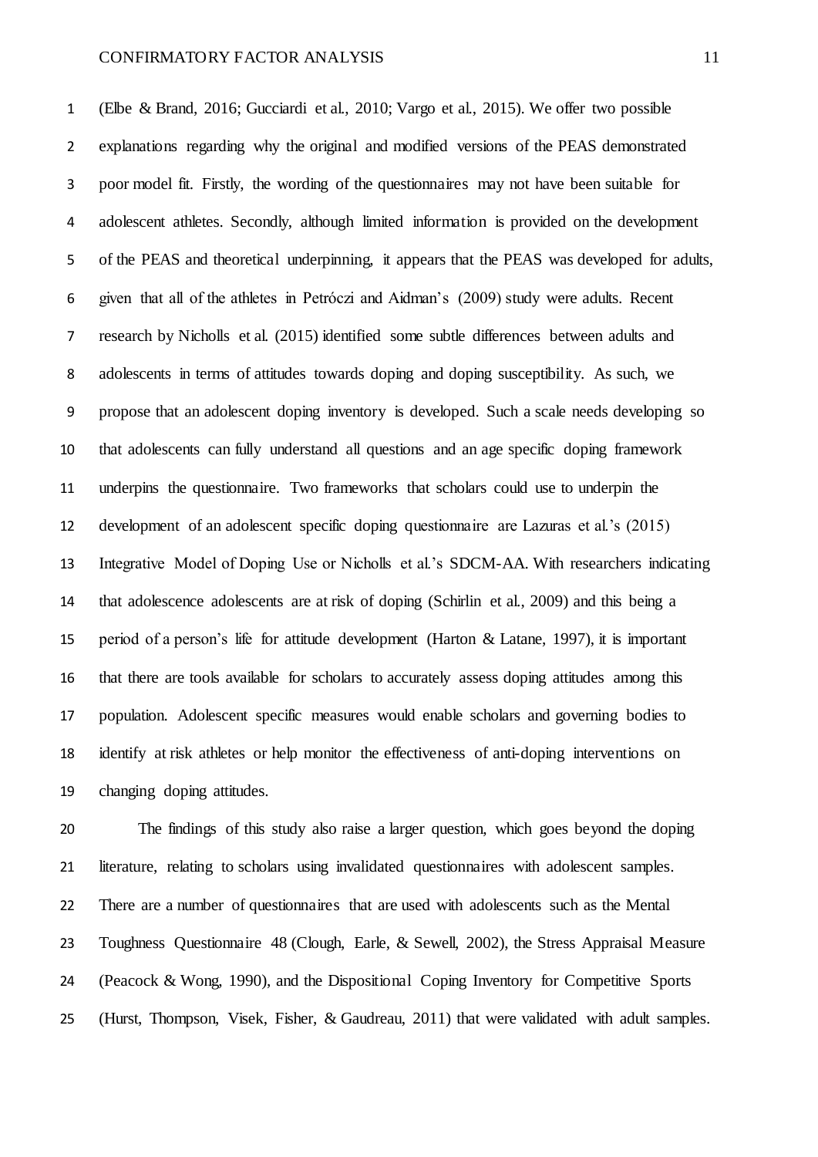(Elbe & Brand, 2016; Gucciardi et al., 2010; Vargo et al., 2015). We offer two possible explanations regarding why the original and modified versions of the PEAS demonstrated poor model fit. Firstly, the wording of the questionnaires may not have been suitable for adolescent athletes. Secondly, although limited information is provided on the development of the PEAS and theoretical underpinning, it appears that the PEAS was developed for adults, given that all of the athletes in Petróczi and Aidman's (2009) study were adults. Recent research by Nicholls et al. (2015) identified some subtle differences between adults and adolescents in terms of attitudes towards doping and doping susceptibility. As such, we propose that an adolescent doping inventory is developed. Such a scale needs developing so that adolescents can fully understand all questions and an age specific doping framework underpins the questionnaire. Two frameworks that scholars could use to underpin the development of an adolescent specific doping questionnaire are Lazuras et al.'s (2015) Integrative Model of Doping Use or Nicholls et al.'s SDCM-AA. With researchers indicating that adolescence adolescents are at risk of doping (Schirlin et al., 2009) and this being a period of a person's life for attitude development (Harton & Latane, 1997), it is important that there are tools available for scholars to accurately assess doping attitudes among this population. Adolescent specific measures would enable scholars and governing bodies to identify at risk athletes or help monitor the effectiveness of anti-doping interventions on changing doping attitudes.

 The findings of this study also raise a larger question, which goes beyond the doping literature, relating to scholars using invalidated questionnaires with adolescent samples. There are a number of questionnaires that are used with adolescents such as the Mental Toughness Questionnaire 48 (Clough, Earle, & Sewell, 2002), the Stress Appraisal Measure (Peacock & Wong, 1990), and the Dispositional Coping Inventory for Competitive Sports (Hurst, Thompson, Visek, Fisher, & Gaudreau, 2011) that were validated with adult samples.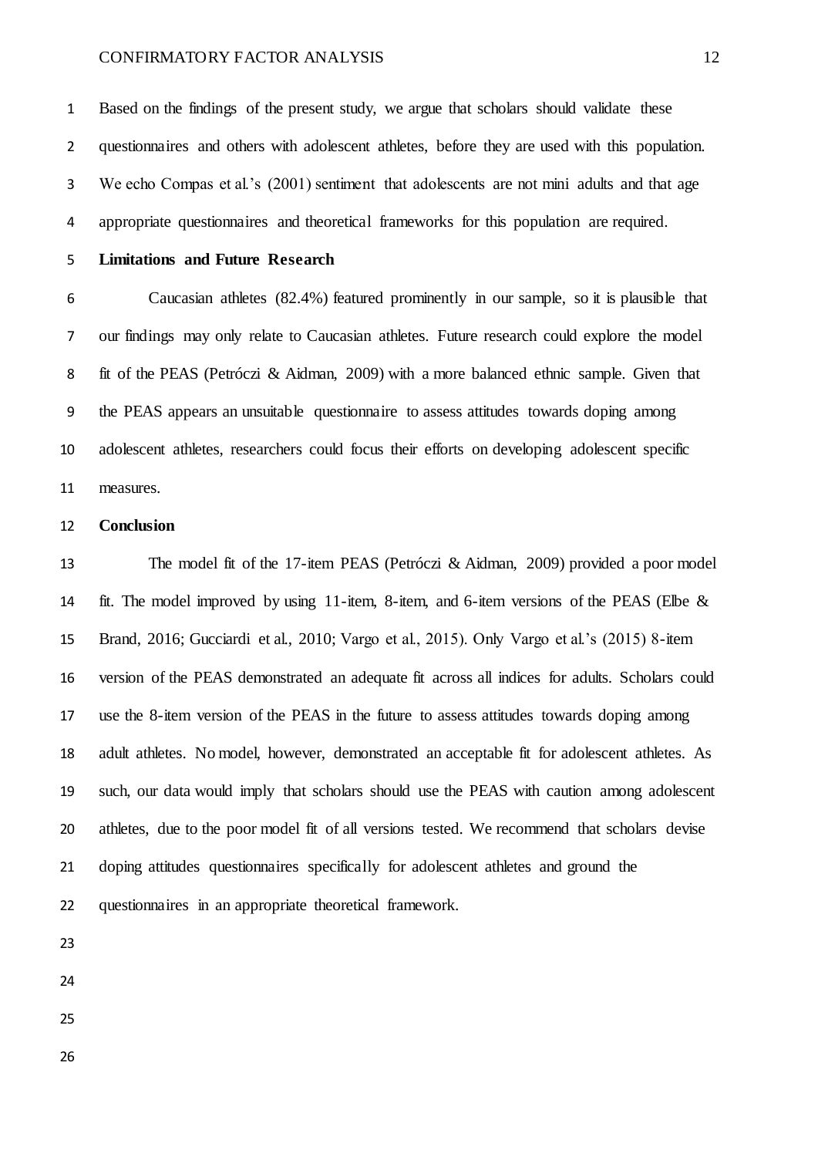Based on the findings of the present study, we argue that scholars should validate these questionnaires and others with adolescent athletes, before they are used with this population. We echo Compas et al.'s (2001) sentiment that adolescents are not mini adults and that age appropriate questionnaires and theoretical frameworks for this population are required.

### **Limitations and Future Research**

 Caucasian athletes (82.4%) featured prominently in our sample, so it is plausible that our findings may only relate to Caucasian athletes. Future research could explore the model fit of the PEAS (Petróczi & Aidman, 2009) with a more balanced ethnic sample. Given that the PEAS appears an unsuitable questionnaire to assess attitudes towards doping among adolescent athletes, researchers could focus their efforts on developing adolescent specific measures.

#### **Conclusion**

 The model fit of the 17-item PEAS (Petróczi & Aidman, 2009) provided a poor model fit. The model improved by using 11-item, 8-item, and 6-item versions of the PEAS (Elbe & Brand, 2016; Gucciardi et al., 2010; Vargo et al., 2015). Only Vargo et al.'s (2015) 8-item version of the PEAS demonstrated an adequate fit across all indices for adults. Scholars could use the 8-item version of the PEAS in the future to assess attitudes towards doping among adult athletes. No model, however, demonstrated an acceptable fit for adolescent athletes. As such, our data would imply that scholars should use the PEAS with caution among adolescent athletes, due to the poor model fit of all versions tested. We recommend that scholars devise doping attitudes questionnaires specifically for adolescent athletes and ground the questionnaires in an appropriate theoretical framework.

- 
- 
-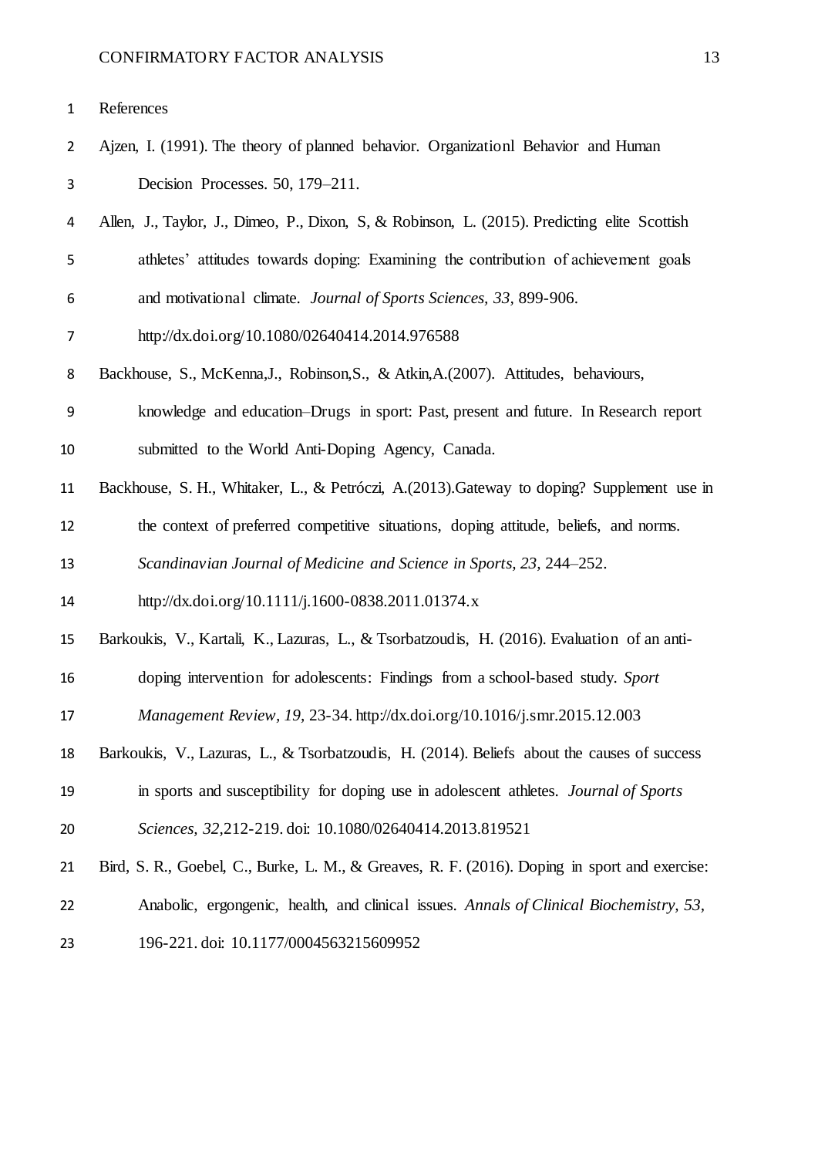- Ajzen, I. (1991). The theory of planned behavior. Organizationl Behavior and Human Decision Processes. 50, 179–211.
- Allen, J., Taylor, J., Dimeo, P., Dixon, S, & Robinson, L. (2015). Predicting elite Scottish athletes' attitudes towards doping: Examining the contribution of achievement goals
- and motivational climate. *Journal of Sports Sciences, 33,* 899-906.
- http://dx.doi.org/10.1080/02640414.2014.976588
- Backhouse, S., McKenna,J., Robinson,S., & Atkin,A.(2007). Attitudes, behaviours,
- knowledge and education–Drugs in sport: Past, present and future. In Research report submitted to the World Anti-Doping Agency, Canada.
- Backhouse, S. H., Whitaker, L., & Petróczi, A.(2013).Gateway to doping? Supplement use in

the context of preferred competitive situations, doping attitude, beliefs, and norms.

*Scandinavian Journal of Medicine and Science in Sports, 23,* 244–252.

http://dx.doi.org/10.1111/j.1600-0838.2011.01374.x

Barkoukis, V., Kartali, K., Lazuras, L., & Tsorbatzoudis, H. (2016). Evaluation of an anti-

doping intervention for adolescents: Findings from a school-based study. *Sport* 

*Management Review, 19,* 23-34. http://dx.doi.org/10.1016/j.smr.2015.12.003

- Barkoukis, V., Lazuras, L., & Tsorbatzoudis, H. (2014). Beliefs about the causes of success
- in sports and susceptibility for doping use in adolescent athletes. *Journal of Sports*

*Sciences, 32,*212-219. doi: 10.1080/02640414.2013.819521

- Bird, S. R., Goebel, C., Burke, L. M., & Greaves, R. F. (2016). Doping in sport and exercise:
- Anabolic, ergongenic, health, and clinical issues. *Annals of Clinical Biochemistry, 53,*
- 196-221. doi: 10.1177/0004563215609952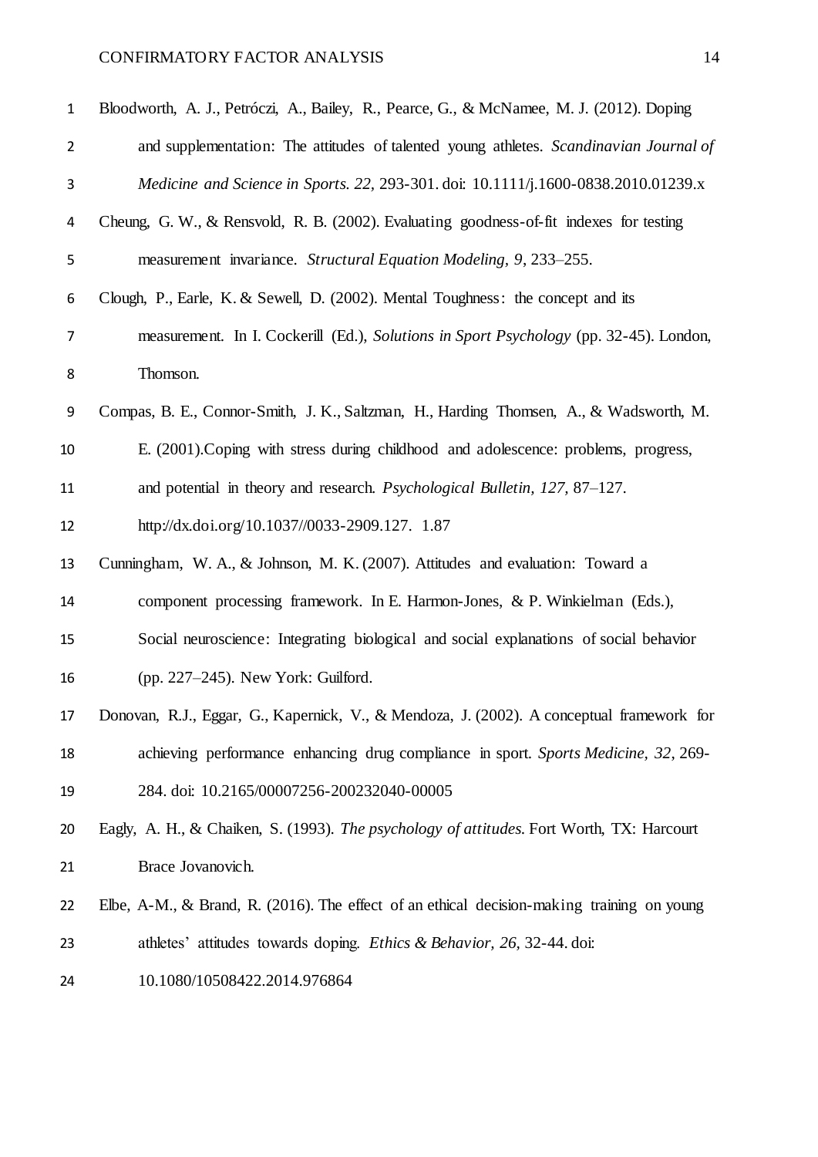| $\mathbf{1}$   | Bloodworth, A. J., Petróczi, A., Bailey, R., Pearce, G., & McNamee, M. J. (2012). Doping   |
|----------------|--------------------------------------------------------------------------------------------|
| $\overline{2}$ | and supplementation: The attitudes of talented young athletes. Scandinavian Journal of     |
| 3              | Medicine and Science in Sports. 22, 293-301. doi: 10.1111/j.1600-0838.2010.01239.x         |
| 4              | Cheung, G. W., & Rensvold, R. B. (2002). Evaluating goodness-of-fit indexes for testing    |
| 5              | measurement invariance. Structural Equation Modeling, 9, 233–255.                          |
| 6              | Clough, P., Earle, K. & Sewell, D. (2002). Mental Toughness: the concept and its           |
| $\overline{7}$ | measurement. In I. Cockerill (Ed.), Solutions in Sport Psychology (pp. 32-45). London,     |
| 8              | Thomson.                                                                                   |
| 9              | Compas, B. E., Connor-Smith, J. K., Saltzman, H., Harding Thomsen, A., & Wadsworth, M.     |
| 10             | E. (2001). Coping with stress during childhood and adolescence: problems, progress,        |
| 11             | and potential in theory and research. Psychological Bulletin, 127, 87–127.                 |
| 12             | http://dx.doi.org/10.1037//0033-2909.127. 1.87                                             |
| 13             | Cunningham, W. A., & Johnson, M. K. (2007). Attitudes and evaluation: Toward a             |
| 14             | component processing framework. In E. Harmon-Jones, & P. Winkielman (Eds.),                |
| 15             | Social neuroscience: Integrating biological and social explanations of social behavior     |
| 16             | (pp. $227-245$ ). New York: Guilford.                                                      |
| 17             | Donovan, R.J., Eggar, G., Kapernick, V., & Mendoza, J. (2002). A conceptual framework for  |
| 18             | achieving performance enhancing drug compliance in sport. Sports Medicine, 32, 269-        |
| 19             | 284. doi: 10.2165/00007256-200232040-00005                                                 |
| 20             | Eagly, A. H., & Chaiken, S. (1993). The psychology of attitudes. Fort Worth, TX: Harcourt  |
| 21             | Brace Jovanovich.                                                                          |
| 22             | Elbe, A-M., & Brand, R. (2016). The effect of an ethical decision-making training on young |
| 23             | athletes' attitudes towards doping. Ethics & Behavior, 26, 32-44. doi:                     |
| 24             | 10.1080/10508422.2014.976864                                                               |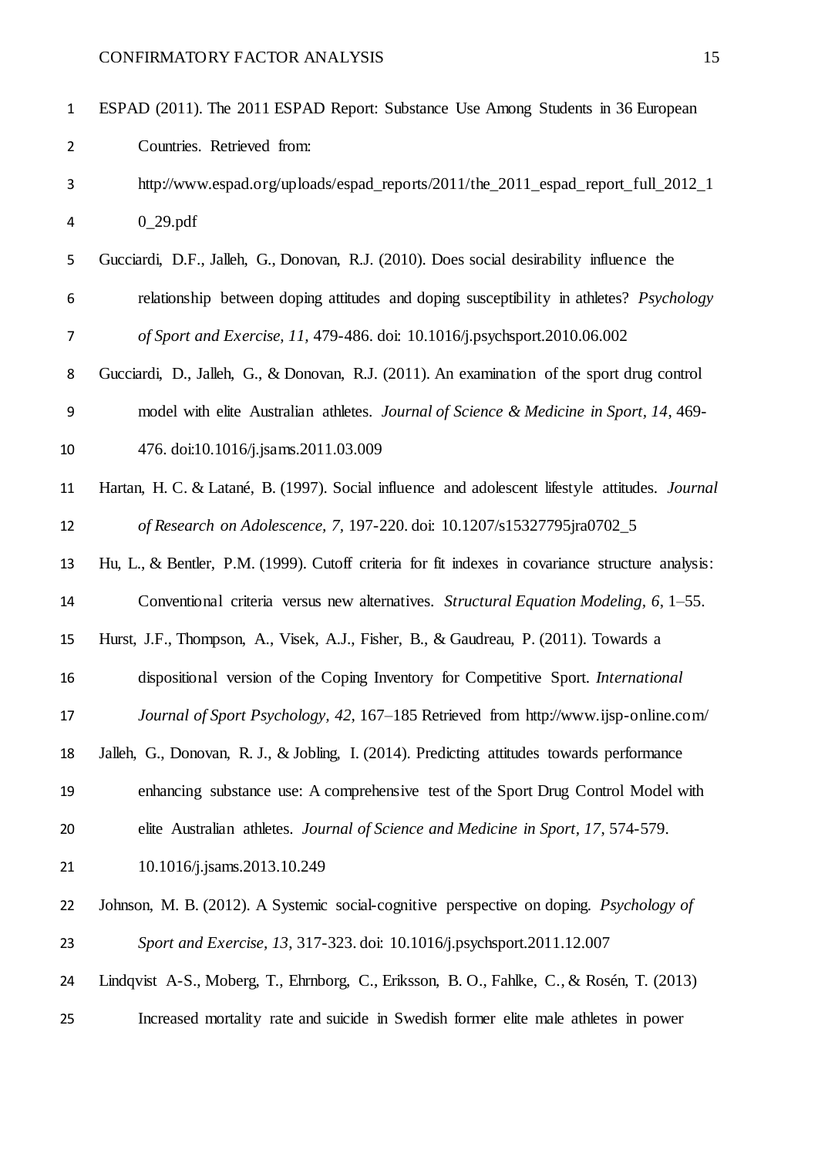| $\mathbf{1}$   | ESPAD (2011). The 2011 ESPAD Report: Substance Use Among Students in 36 European                  |
|----------------|---------------------------------------------------------------------------------------------------|
| $\overline{2}$ | Countries. Retrieved from:                                                                        |
| 3              | http://www.espad.org/uploads/espad_reports/2011/the_2011_espad_report_full_2012_1                 |
| 4              | $0_29.pdf$                                                                                        |
| 5              | Gucciardi, D.F., Jalleh, G., Donovan, R.J. (2010). Does social desirability influence the         |
| 6              | relationship between doping attitudes and doping susceptibility in athletes? <i>Psychology</i>    |
| 7              | of Sport and Exercise, 11, 479-486. doi: 10.1016/j.psychsport.2010.06.002                         |
| 8              | Gucciardi, D., Jalleh, G., & Donovan, R.J. (2011). An examination of the sport drug control       |
| 9              | model with elite Australian athletes. Journal of Science & Medicine in Sport, 14, 469-            |
| 10             | 476. doi:10.1016/j.jsams.2011.03.009                                                              |
| 11             | Hartan, H. C. & Latané, B. (1997). Social influence and adolescent lifestyle attitudes. Journal   |
| 12             | of Research on Adolescence, 7, 197-220. doi: 10.1207/s15327795jra0702_5                           |
| 13             | Hu, L., & Bentler, P.M. (1999). Cutoff criteria for fit indexes in covariance structure analysis: |
| 14             | Conventional criteria versus new alternatives. Structural Equation Modeling, 6, 1–55.             |
| 15             | Hurst, J.F., Thompson, A., Visek, A.J., Fisher, B., & Gaudreau, P. (2011). Towards a              |
| 16             | dispositional version of the Coping Inventory for Competitive Sport. International                |
| 17             | Journal of Sport Psychology, 42, 167–185 Retrieved from http://www.ijsp-online.com/               |
| 18             | Jalleh, G., Donovan, R. J., & Jobling, I. (2014). Predicting attitudes towards performance        |
| 19             | enhancing substance use: A comprehensive test of the Sport Drug Control Model with                |
| 20             | elite Australian athletes. Journal of Science and Medicine in Sport, 17, 574-579.                 |
| 21             | 10.1016/j.jsams.2013.10.249                                                                       |
| 22             | Johnson, M. B. (2012). A Systemic social-cognitive perspective on doping. Psychology of           |
| 23             | Sport and Exercise, 13, 317-323. doi: 10.1016/j.psychsport.2011.12.007                            |
| 24             | Lindqvist A-S., Moberg, T., Ehrnborg, C., Eriksson, B. O., Fahlke, C., & Rosén, T. (2013)         |
| 25             | Increased mortality rate and suicide in Swedish former elite male athletes in power               |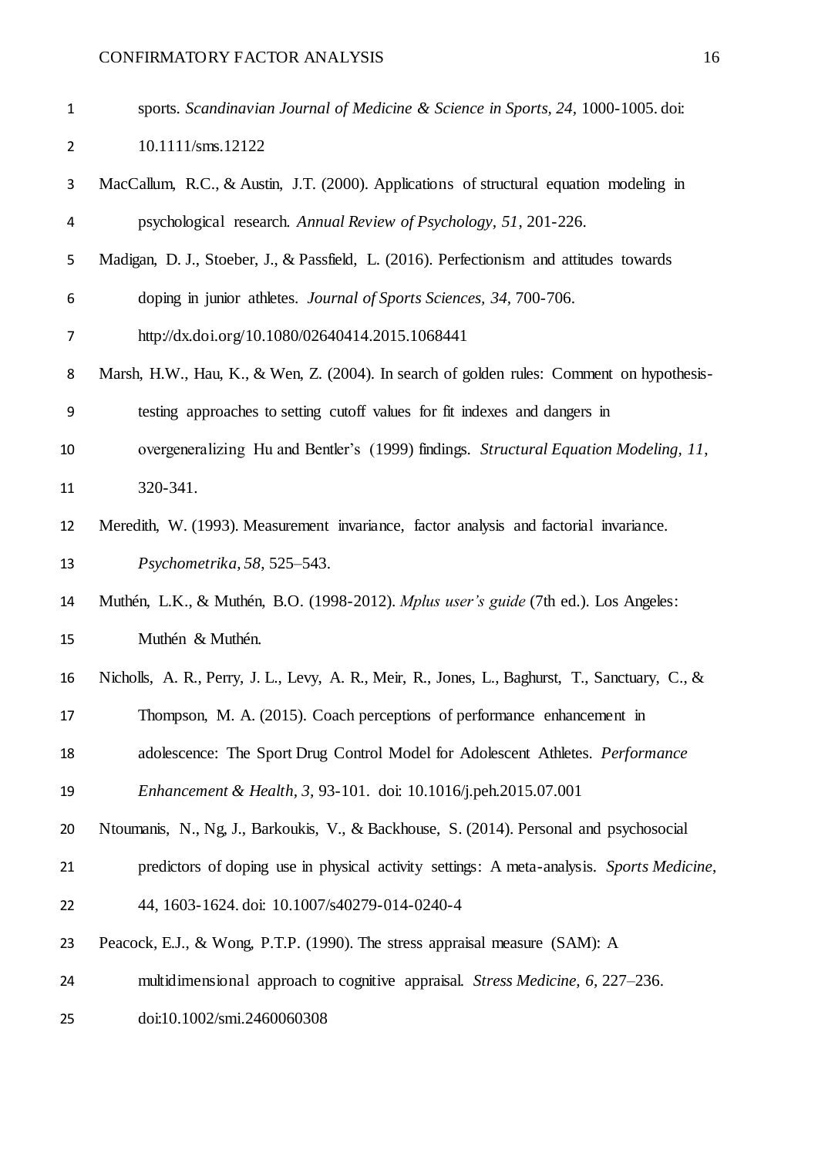doi:10.1002/smi.2460060308

| $\mathbf{1}$              | sports. Scandinavian Journal of Medicine & Science in Sports, 24, 1000-1005. doi:               |
|---------------------------|-------------------------------------------------------------------------------------------------|
| $\overline{2}$            | 10.1111/sms.12122                                                                               |
| $\ensuremath{\mathsf{3}}$ | MacCallum, R.C., & Austin, J.T. (2000). Applications of structural equation modeling in         |
| 4                         | psychological research. Annual Review of Psychology, 51, 201-226.                               |
| 5                         | Madigan, D. J., Stoeber, J., & Passfield, L. (2016). Perfectionism and attitudes towards        |
| 6                         | doping in junior athletes. Journal of Sports Sciences, 34, 700-706.                             |
| 7                         | http://dx.doi.org/10.1080/02640414.2015.1068441                                                 |
| 8                         | Marsh, H.W., Hau, K., & Wen, Z. (2004). In search of golden rules: Comment on hypothesis-       |
| 9                         | testing approaches to setting cutoff values for fit indexes and dangers in                      |
| 10                        | overgeneralizing Hu and Bentler's (1999) findings. Structural Equation Modeling, 11,            |
| 11                        | 320-341.                                                                                        |
| 12                        | Meredith, W. (1993). Measurement invariance, factor analysis and factorial invariance.          |
| 13                        | Psychometrika, 58, 525–543.                                                                     |
| 14                        | Muthén, L.K., & Muthén, B.O. (1998-2012). Mplus user's guide (7th ed.). Los Angeles:            |
| 15                        | Muthén & Muthén.                                                                                |
| 16                        | Nicholls, A. R., Perry, J. L., Levy, A. R., Meir, R., Jones, L., Baghurst, T., Sanctuary, C., & |
| 17                        | Thompson, M. A. (2015). Coach perceptions of performance enhancement in                         |
| 18                        | adolescence: The Sport Drug Control Model for Adolescent Athletes. Performance                  |
| 19                        | Enhancement & Health, 3, 93-101. doi: 10.1016/j.peh.2015.07.001                                 |
| 20                        | Ntoumanis, N., Ng, J., Barkoukis, V., & Backhouse, S. (2014). Personal and psychosocial         |
| 21                        | predictors of doping use in physical activity settings: A meta-analysis. Sports Medicine,       |
| 22                        | 44, 1603-1624. doi: 10.1007/s40279-014-0240-4                                                   |
| 23                        | Peacock, E.J., & Wong, P.T.P. (1990). The stress appraisal measure (SAM): A                     |
| 24                        | multidimensional approach to cognitive appraisal. Stress Medicine, 6, 227–236.                  |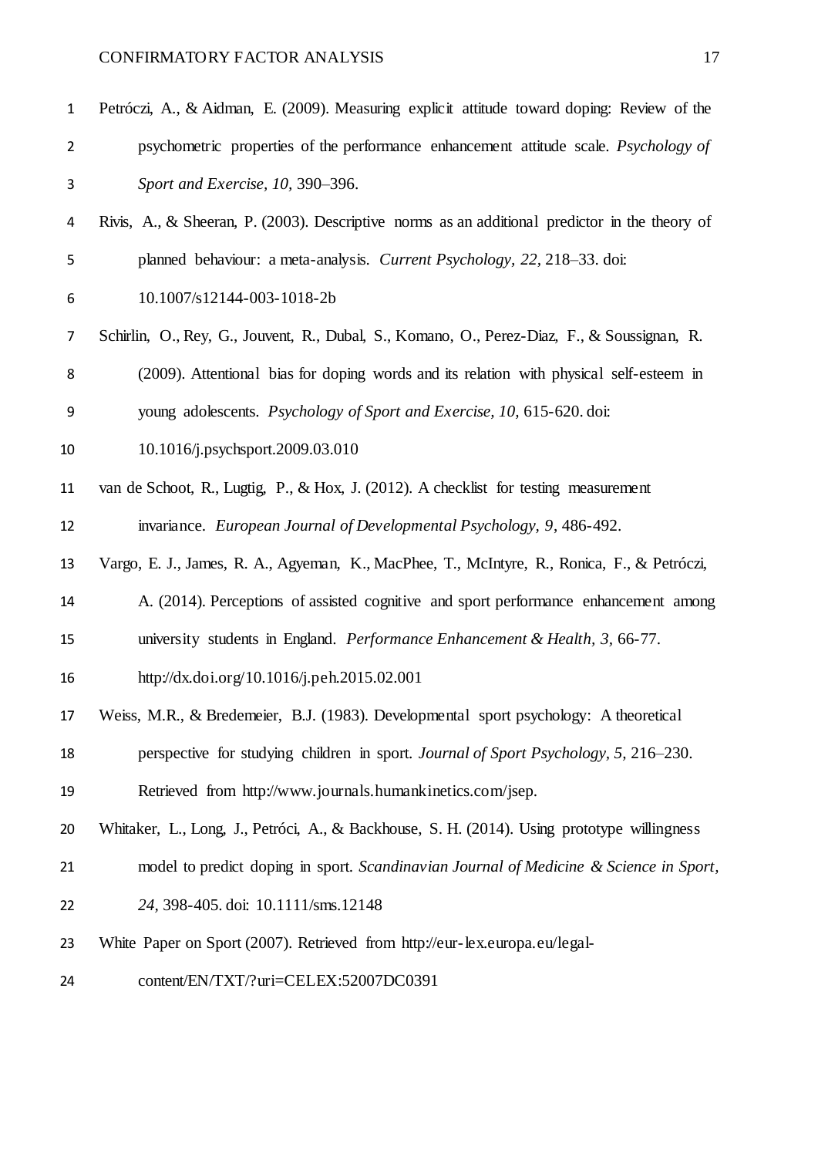| $\mathbf{1}$   | Petróczi, A., & Aidman, E. (2009). Measuring explicit attitude toward doping: Review of the    |
|----------------|------------------------------------------------------------------------------------------------|
| $\overline{2}$ | psychometric properties of the performance enhancement attitude scale. Psychology of           |
| 3              | Sport and Exercise, 10, 390-396.                                                               |
| 4              | Rivis, A., & Sheeran, P. (2003). Descriptive norms as an additional predictor in the theory of |
| 5              | planned behaviour: a meta-analysis. Current Psychology, 22, 218–33. doi:                       |
| 6              | 10.1007/s12144-003-1018-2b                                                                     |
| 7              | Schirlin, O., Rey, G., Jouvent, R., Dubal, S., Komano, O., Perez-Diaz, F., & Soussignan, R.    |
| 8              | (2009). Attentional bias for doping words and its relation with physical self-esteem in        |
| 9              | young adolescents. Psychology of Sport and Exercise, 10, 615-620. doi:                         |
| 10             | 10.1016/j.psychsport.2009.03.010                                                               |
| 11             | van de Schoot, R., Lugtig, P., & Hox, J. (2012). A checklist for testing measurement           |
| 12             | invariance. European Journal of Developmental Psychology, 9, 486-492.                          |
| 13             | Vargo, E. J., James, R. A., Agyeman, K., MacPhee, T., McIntyre, R., Ronica, F., & Petróczi,    |
| 14             | A. (2014). Perceptions of assisted cognitive and sport performance enhancement among           |
| 15             | university students in England. Performance Enhancement & Health, 3, 66-77.                    |
| 16             | http://dx.doi.org/10.1016/j.peh.2015.02.001                                                    |
| 17             | Weiss, M.R., & Bredemeier, B.J. (1983). Developmental sport psychology: A theoretical          |
| 18             | perspective for studying children in sport. Journal of Sport Psychology, 5, 216–230.           |
| 19             | Retrieved from http://www.journals.humankinetics.com/jsep.                                     |
| 20             | Whitaker, L., Long, J., Petróci, A., & Backhouse, S. H. (2014). Using prototype willingness    |
| 21             | model to predict doping in sport. Scandinavian Journal of Medicine & Science in Sport,         |
| 22             | 24, 398-405. doi: 10.1111/sms.12148                                                            |
| 23             | White Paper on Sport (2007). Retrieved from http://eur-lex.europa.eu/legal-                    |
| 24             | content/EN/TXT/?uri=CELEX:52007DC0391                                                          |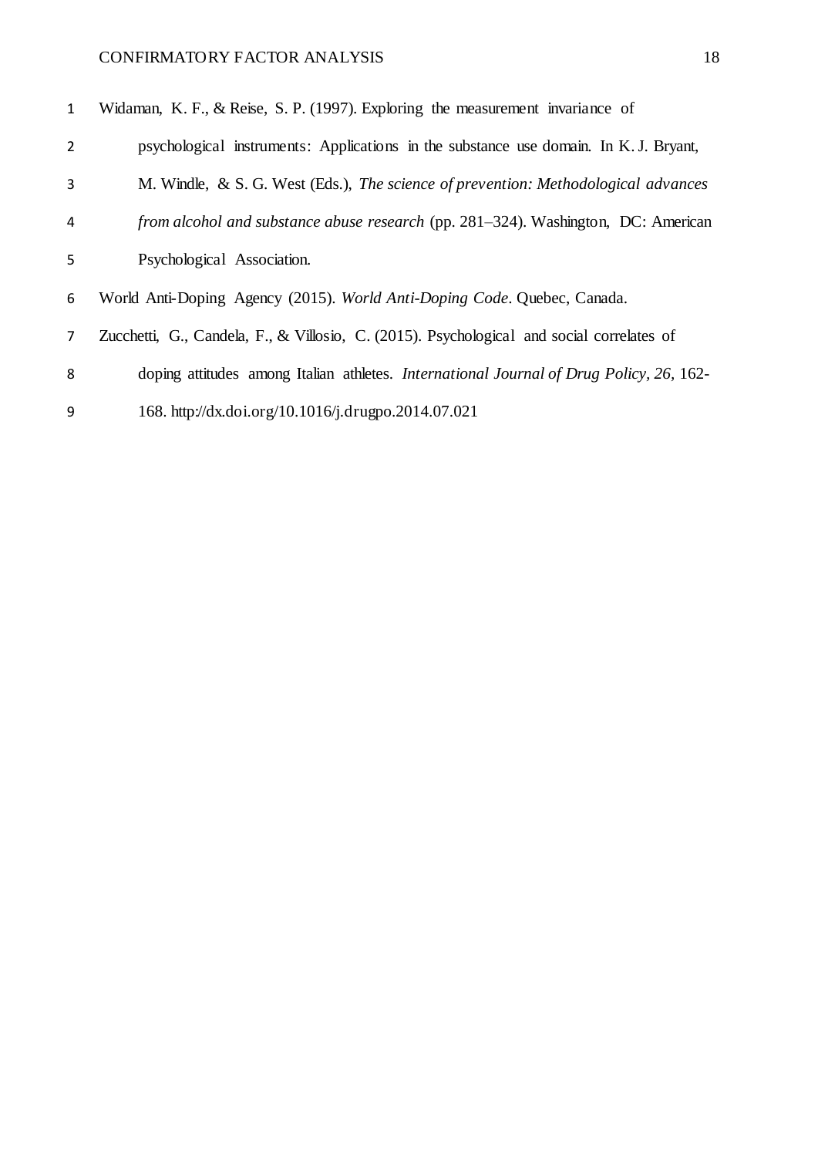| $\mathbf{1}$   | Widaman, K. F., & Reise, S. P. (1997). Exploring the measurement invariance of            |
|----------------|-------------------------------------------------------------------------------------------|
| $\overline{2}$ | psychological instruments: Applications in the substance use domain. In K. J. Bryant,     |
| 3              | M. Windle, & S. G. West (Eds.), The science of prevention: Methodological advances        |
| 4              | <i>from alcohol and substance abuse research</i> (pp. 281–324). Washington, DC: American  |
| 5              | Psychological Association.                                                                |
| 6              | World Anti-Doping Agency (2015). World Anti-Doping Code. Quebec, Canada.                  |
| $\overline{7}$ | Zucchetti, G., Candela, F., & Villosio, C. (2015). Psychological and social correlates of |
| 8              | doping attitudes among Italian athletes. International Journal of Drug Policy, 26, 162-   |
| 9              | 168. http://dx.doi.org/10.1016/j.drugpo.2014.07.021                                       |